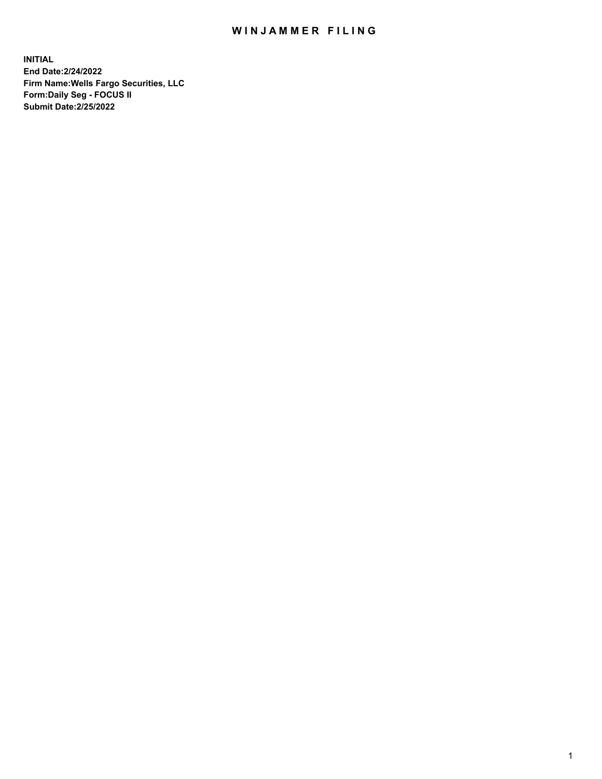## WIN JAMMER FILING

**INITIAL End Date:2/24/2022 Firm Name:Wells Fargo Securities, LLC Form:Daily Seg - FOCUS II Submit Date:2/25/2022**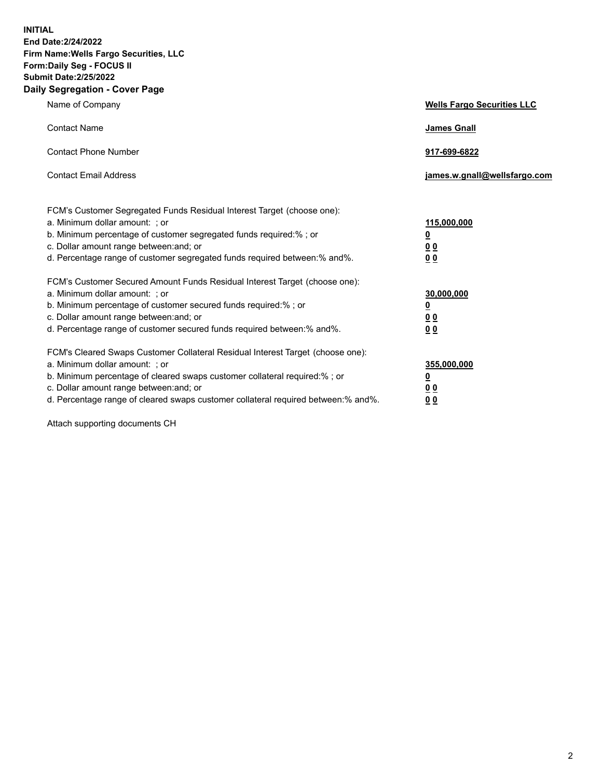**INITIAL End Date:2/24/2022 Firm Name:Wells Fargo Securities, LLC Form:Daily Seg - FOCUS II Submit Date:2/25/2022 Daily Segregation - Cover Page**

| Name of Company                                                                                                       | <b>Wells Fargo Securities LLC</b> |
|-----------------------------------------------------------------------------------------------------------------------|-----------------------------------|
| <b>Contact Name</b>                                                                                                   | <b>James Gnall</b>                |
|                                                                                                                       |                                   |
| <b>Contact Phone Number</b>                                                                                           | 917-699-6822                      |
|                                                                                                                       |                                   |
| <b>Contact Email Address</b>                                                                                          | james.w.gnall@wellsfargo.com      |
|                                                                                                                       |                                   |
| FCM's Customer Segregated Funds Residual Interest Target (choose one):                                                |                                   |
| a. Minimum dollar amount: ; or                                                                                        | 115,000,000                       |
| b. Minimum percentage of customer segregated funds required:% ; or                                                    | <u>0</u>                          |
| c. Dollar amount range between: and; or                                                                               | 00                                |
| d. Percentage range of customer segregated funds required between:% and%.                                             | 00                                |
| FCM's Customer Secured Amount Funds Residual Interest Target (choose one):                                            |                                   |
| a. Minimum dollar amount: ; or                                                                                        | 30,000,000                        |
| b. Minimum percentage of customer secured funds required:%; or                                                        | <u>0</u>                          |
| c. Dollar amount range between: and; or                                                                               | 00                                |
| d. Percentage range of customer secured funds required between: % and %.                                              | 0 <sub>0</sub>                    |
|                                                                                                                       |                                   |
| FCM's Cleared Swaps Customer Collateral Residual Interest Target (choose one):                                        |                                   |
| a. Minimum dollar amount: ; or                                                                                        | 355,000,000                       |
| b. Minimum percentage of cleared swaps customer collateral required:% ; or<br>c. Dollar amount range between: and; or | <u>0</u>                          |
| d. Percentage range of cleared swaps customer collateral required between:% and%.                                     | <u>00</u><br>00                   |
|                                                                                                                       |                                   |

Attach supporting documents CH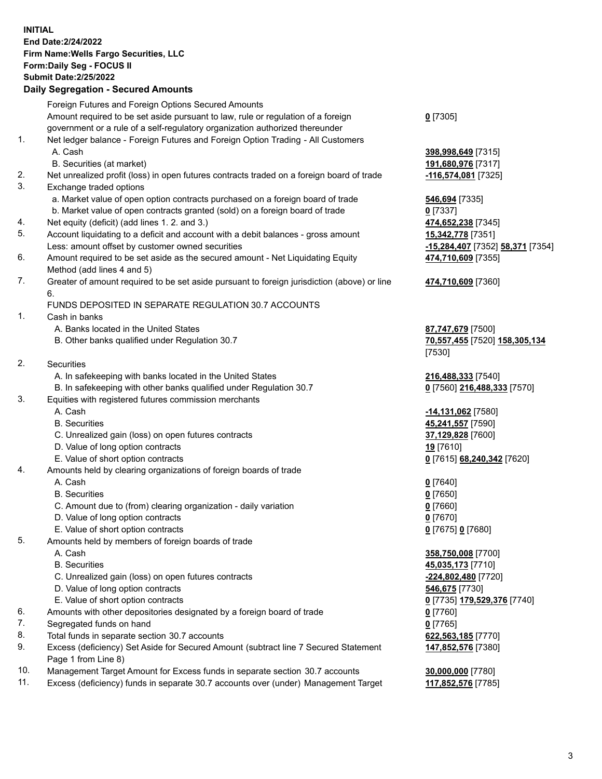**INITIAL End Date:2/24/2022 Firm Name:Wells Fargo Securities, LLC Form:Daily Seg - FOCUS II Submit Date:2/25/2022 Daily Segregation - Secured Amounts**

Foreign Futures and Foreign Options Secured Amounts Amount required to be set aside pursuant to law, rule or regulation of a foreign government or a rule of a self-regulatory organization authorized thereunder **0** [7305] 1. Net ledger balance - Foreign Futures and Foreign Option Trading - All Customers A. Cash **398,998,649** [7315] B. Securities (at market) **191,680,976** [7317] 2. Net unrealized profit (loss) in open futures contracts traded on a foreign board of trade **-116,574,081** [7325] 3. Exchange traded options a. Market value of open option contracts purchased on a foreign board of trade **546,694** [7335] b. Market value of open contracts granted (sold) on a foreign board of trade **0** [7337] 4. Net equity (deficit) (add lines 1. 2. and 3.) **474,652,238** [7345] 5. Account liquidating to a deficit and account with a debit balances - gross amount **15,342,778** [7351] Less: amount offset by customer owned securities **-15,284,407** [7352] **58,371** [7354] 6. Amount required to be set aside as the secured amount - Net Liquidating Equity Method (add lines 4 and 5) **474,710,609** [7355] 7. Greater of amount required to be set aside pursuant to foreign jurisdiction (above) or line 6. **474,710,609** [7360] FUNDS DEPOSITED IN SEPARATE REGULATION 30.7 ACCOUNTS 1. Cash in banks A. Banks located in the United States **87,747,679** [7500] B. Other banks qualified under Regulation 30.7 **70,557,455** [7520] **158,305,134** [7530] 2. Securities A. In safekeeping with banks located in the United States **216,488,333** [7540] B. In safekeeping with other banks qualified under Regulation 30.7 **0** [7560] **216,488,333** [7570] 3. Equities with registered futures commission merchants A. Cash **-14,131,062** [7580] B. Securities **45,241,557** [7590] C. Unrealized gain (loss) on open futures contracts **37,129,828** [7600] D. Value of long option contracts **19** [7610] E. Value of short option contracts **0** [7615] **68,240,342** [7620] 4. Amounts held by clearing organizations of foreign boards of trade A. Cash **0** [7640] B. Securities **0** [7650] C. Amount due to (from) clearing organization - daily variation **0** [7660] D. Value of long option contracts **0** [7670] E. Value of short option contracts **0** [7675] **0** [7680] 5. Amounts held by members of foreign boards of trade A. Cash **358,750,008** [7700] B. Securities **45,035,173** [7710] C. Unrealized gain (loss) on open futures contracts **-224,802,480** [7720] D. Value of long option contracts **546,675** [7730] E. Value of short option contracts **0** [7735] **179,529,376** [7740] 6. Amounts with other depositories designated by a foreign board of trade **0** [7760]

- 7. Segregated funds on hand **0** [7765]
- 8. Total funds in separate section 30.7 accounts **622,563,185** [7770]
- 9. Excess (deficiency) Set Aside for Secured Amount (subtract line 7 Secured Statement Page 1 from Line 8)
- 10. Management Target Amount for Excess funds in separate section 30.7 accounts **30,000,000** [7780]
- 11. Excess (deficiency) funds in separate 30.7 accounts over (under) Management Target **117,852,576** [7785]

3

**147,852,576** [7380]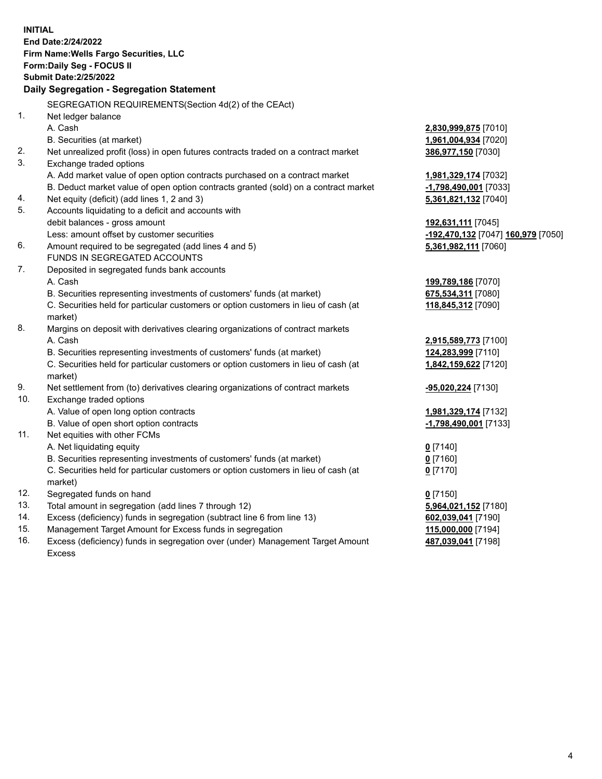**INITIAL End Date:2/24/2022 Firm Name:Wells Fargo Securities, LLC Form:Daily Seg - FOCUS II Submit Date:2/25/2022 Daily Segregation - Segregation Statement** SEGREGATION REQUIREMENTS(Section 4d(2) of the CEAct) 1. Net ledger balance A. Cash **2,830,999,875** [7010] B. Securities (at market) **1,961,004,934** [7020] 2. Net unrealized profit (loss) in open futures contracts traded on a contract market **386,977,150** [7030] 3. Exchange traded options A. Add market value of open option contracts purchased on a contract market **1,981,329,174** [7032] B. Deduct market value of open option contracts granted (sold) on a contract market **-1,798,490,001** [7033] 4. Net equity (deficit) (add lines 1, 2 and 3) **5,361,821,132** [7040] 5. Accounts liquidating to a deficit and accounts with debit balances - gross amount **192,631,111** [7045] Less: amount offset by customer securities **-192,470,132** [7047] **160,979** [7050] 6. Amount required to be segregated (add lines 4 and 5) **5,361,982,111** [7060] FUNDS IN SEGREGATED ACCOUNTS 7. Deposited in segregated funds bank accounts A. Cash **199,789,186** [7070] B. Securities representing investments of customers' funds (at market) **675,534,311** [7080] C. Securities held for particular customers or option customers in lieu of cash (at market) **118,845,312** [7090] 8. Margins on deposit with derivatives clearing organizations of contract markets A. Cash **2,915,589,773** [7100] B. Securities representing investments of customers' funds (at market) **124,283,999** [7110] C. Securities held for particular customers or option customers in lieu of cash (at market) **1,842,159,622** [7120] 9. Net settlement from (to) derivatives clearing organizations of contract markets **-95,020,224** [7130] 10. Exchange traded options A. Value of open long option contracts **1,981,329,174** [7132] B. Value of open short option contracts **-1,798,490,001** [7133] 11. Net equities with other FCMs A. Net liquidating equity **0** [7140] B. Securities representing investments of customers' funds (at market) **0** [7160] C. Securities held for particular customers or option customers in lieu of cash (at market) **0** [7170] 12. Segregated funds on hand **0** [7150] 13. Total amount in segregation (add lines 7 through 12) **5,964,021,152** [7180] 14. Excess (deficiency) funds in segregation (subtract line 6 from line 13) **602,039,041** [7190] 15. Management Target Amount for Excess funds in segregation **115,000,000** [7194] 16. Excess (deficiency) funds in segregation over (under) Management Target Amount Excess **487,039,041** [7198]